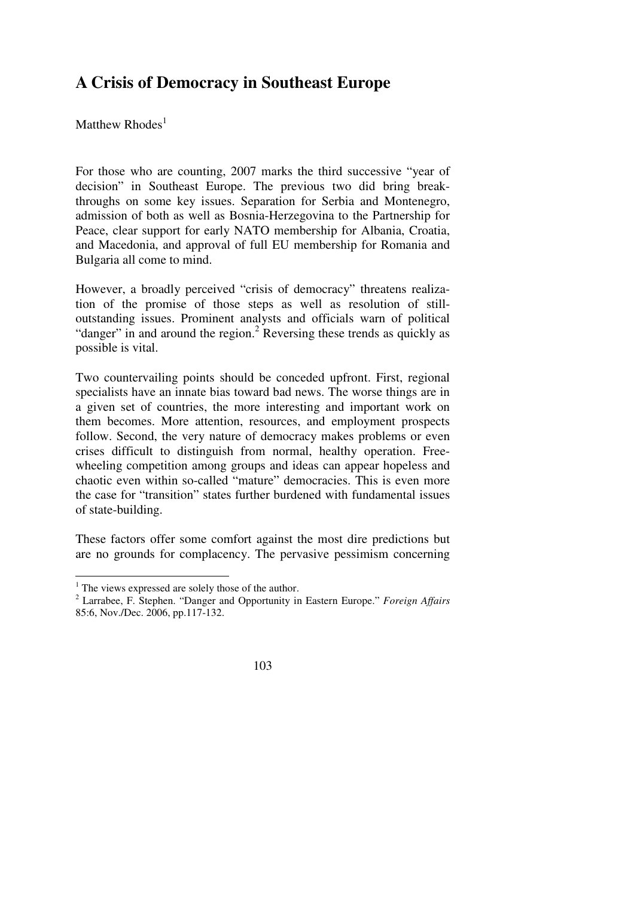## **A Crisis of Democracy in Southeast Europe**

Matthew  $R$ hodes $<sup>1</sup>$ </sup>

For those who are counting, 2007 marks the third successive "year of decision" in Southeast Europe. The previous two did bring breakthroughs on some key issues. Separation for Serbia and Montenegro, admission of both as well as Bosnia-Herzegovina to the Partnership for Peace, clear support for early NATO membership for Albania, Croatia, and Macedonia, and approval of full EU membership for Romania and Bulgaria all come to mind.

However, a broadly perceived "crisis of democracy" threatens realization of the promise of those steps as well as resolution of stilloutstanding issues. Prominent analysts and officials warn of political "danger" in and around the region.<sup>2</sup> Reversing these trends as quickly as possible is vital.

Two countervailing points should be conceded upfront. First, regional specialists have an innate bias toward bad news. The worse things are in a given set of countries, the more interesting and important work on them becomes. More attention, resources, and employment prospects follow. Second, the very nature of democracy makes problems or even crises difficult to distinguish from normal, healthy operation. Freewheeling competition among groups and ideas can appear hopeless and chaotic even within so-called "mature" democracies. This is even more the case for "transition" states further burdened with fundamental issues of state-building.

These factors offer some comfort against the most dire predictions but are no grounds for complacency. The pervasive pessimism concerning

<sup>&</sup>lt;sup>1</sup> The views expressed are solely those of the author.

<sup>2</sup> Larrabee, F. Stephen. "Danger and Opportunity in Eastern Europe." *Foreign Affairs*  85:6, Nov./Dec. 2006, pp.117-132.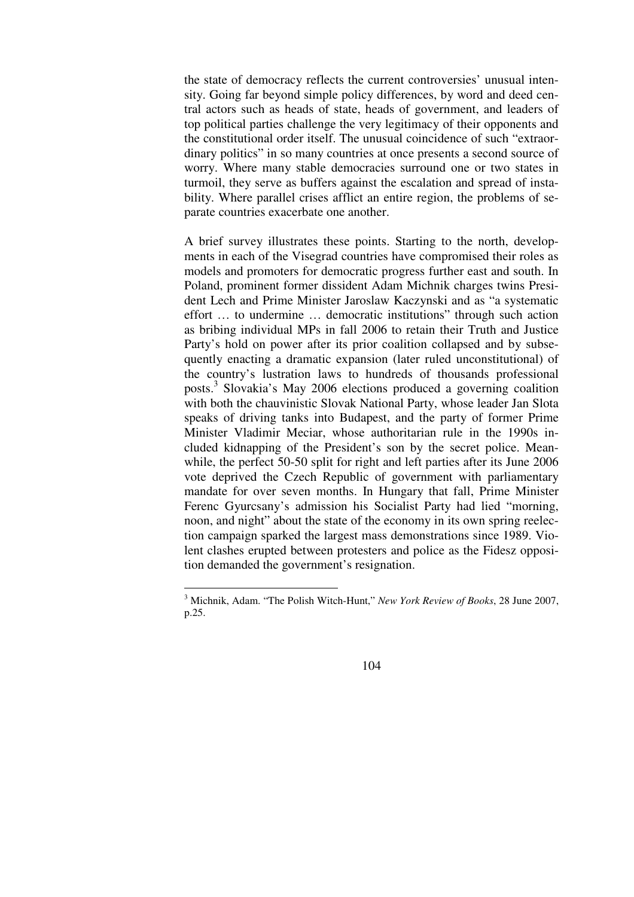the state of democracy reflects the current controversies' unusual intensity. Going far beyond simple policy differences, by word and deed central actors such as heads of state, heads of government, and leaders of top political parties challenge the very legitimacy of their opponents and the constitutional order itself. The unusual coincidence of such "extraordinary politics" in so many countries at once presents a second source of worry. Where many stable democracies surround one or two states in turmoil, they serve as buffers against the escalation and spread of instability. Where parallel crises afflict an entire region, the problems of separate countries exacerbate one another.

A brief survey illustrates these points. Starting to the north, developments in each of the Visegrad countries have compromised their roles as models and promoters for democratic progress further east and south. In Poland, prominent former dissident Adam Michnik charges twins President Lech and Prime Minister Jaroslaw Kaczynski and as "a systematic effort … to undermine … democratic institutions" through such action as bribing individual MPs in fall 2006 to retain their Truth and Justice Party's hold on power after its prior coalition collapsed and by subsequently enacting a dramatic expansion (later ruled unconstitutional) of the country's lustration laws to hundreds of thousands professional posts.<sup>3</sup> Slovakia's May 2006 elections produced a governing coalition with both the chauvinistic Slovak National Party, whose leader Jan Slota speaks of driving tanks into Budapest, and the party of former Prime Minister Vladimir Meciar, whose authoritarian rule in the 1990s included kidnapping of the President's son by the secret police. Meanwhile, the perfect 50-50 split for right and left parties after its June 2006 vote deprived the Czech Republic of government with parliamentary mandate for over seven months. In Hungary that fall, Prime Minister Ferenc Gyurcsany's admission his Socialist Party had lied "morning, noon, and night" about the state of the economy in its own spring reelection campaign sparked the largest mass demonstrations since 1989. Violent clashes erupted between protesters and police as the Fidesz opposition demanded the government's resignation.

<sup>3</sup> Michnik, Adam. "The Polish Witch-Hunt," *New York Review of Books*, 28 June 2007, p.25.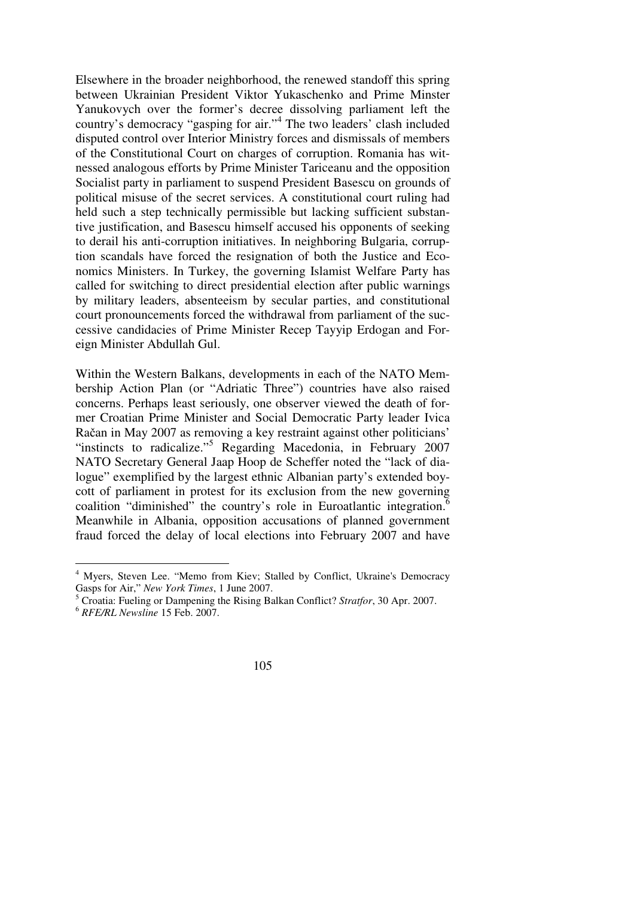Elsewhere in the broader neighborhood, the renewed standoff this spring between Ukrainian President Viktor Yukaschenko and Prime Minster Yanukovych over the former's decree dissolving parliament left the country's democracy "gasping for air."<sup>4</sup> The two leaders' clash included disputed control over Interior Ministry forces and dismissals of members of the Constitutional Court on charges of corruption. Romania has witnessed analogous efforts by Prime Minister Tariceanu and the opposition Socialist party in parliament to suspend President Basescu on grounds of political misuse of the secret services. A constitutional court ruling had held such a step technically permissible but lacking sufficient substantive justification, and Basescu himself accused his opponents of seeking to derail his anti-corruption initiatives. In neighboring Bulgaria, corruption scandals have forced the resignation of both the Justice and Economics Ministers. In Turkey, the governing Islamist Welfare Party has called for switching to direct presidential election after public warnings by military leaders, absenteeism by secular parties, and constitutional court pronouncements forced the withdrawal from parliament of the successive candidacies of Prime Minister Recep Tayyip Erdogan and Foreign Minister Abdullah Gul.

Within the Western Balkans, developments in each of the NATO Membership Action Plan (or "Adriatic Three") countries have also raised concerns. Perhaps least seriously, one observer viewed the death of former Croatian Prime Minister and Social Democratic Party leader Ivica Račan in May 2007 as removing a key restraint against other politicians' "instincts to radicalize."<sup>5</sup> Regarding Macedonia, in February 2007 NATO Secretary General Jaap Hoop de Scheffer noted the "lack of dialogue" exemplified by the largest ethnic Albanian party's extended boycott of parliament in protest for its exclusion from the new governing coalition "diminished" the country's role in Euroatlantic integration.<sup>6</sup> Meanwhile in Albania, opposition accusations of planned government fraud forced the delay of local elections into February 2007 and have

<sup>&</sup>lt;sup>4</sup> Myers, Steven Lee. "Memo from Kiev; Stalled by Conflict, Ukraine's Democracy Gasps for Air," *New York Times*, 1 June 2007.

<sup>5</sup> Croatia: Fueling or Dampening the Rising Balkan Conflict? *Stratfor*, 30 Apr. 2007.

<sup>6</sup> *RFE/RL Newsline* 15 Feb. 2007.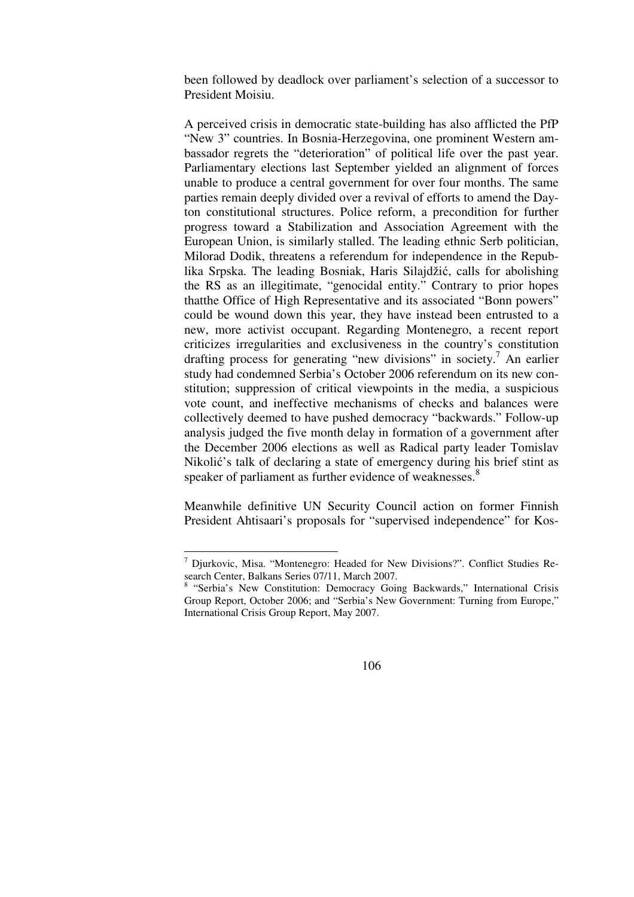been followed by deadlock over parliament's selection of a successor to President Moisiu.

A perceived crisis in democratic state-building has also afflicted the PfP "New 3" countries. In Bosnia-Herzegovina, one prominent Western ambassador regrets the "deterioration" of political life over the past year. Parliamentary elections last September yielded an alignment of forces unable to produce a central government for over four months. The same parties remain deeply divided over a revival of efforts to amend the Dayton constitutional structures. Police reform, a precondition for further progress toward a Stabilization and Association Agreement with the European Union, is similarly stalled. The leading ethnic Serb politician, Milorad Dodik, threatens a referendum for independence in the Republika Srpska. The leading Bosniak, Haris Silajdžić, calls for abolishing the RS as an illegitimate, "genocidal entity." Contrary to prior hopes thatthe Office of High Representative and its associated "Bonn powers" could be wound down this year, they have instead been entrusted to a new, more activist occupant. Regarding Montenegro, a recent report criticizes irregularities and exclusiveness in the country's constitution drafting process for generating "new divisions" in society.<sup>7</sup> An earlier study had condemned Serbia's October 2006 referendum on its new constitution; suppression of critical viewpoints in the media, a suspicious vote count, and ineffective mechanisms of checks and balances were collectively deemed to have pushed democracy "backwards." Follow-up analysis judged the five month delay in formation of a government after the December 2006 elections as well as Radical party leader Tomislav Nikolić's talk of declaring a state of emergency during his brief stint as speaker of parliament as further evidence of weaknesses.<sup>8</sup>

Meanwhile definitive UN Security Council action on former Finnish President Ahtisaari's proposals for "supervised independence" for Kos-

<sup>&</sup>lt;sup>7</sup> Djurkovic, Misa. "Montenegro: Headed for New Divisions?". Conflict Studies Research Center, Balkans Series 07/11, March 2007.

<sup>&</sup>lt;sup>8</sup> "Serbia's New Constitution: Democracy Going Backwards," International Crisis Group Report, October 2006; and "Serbia's New Government: Turning from Europe," International Crisis Group Report, May 2007.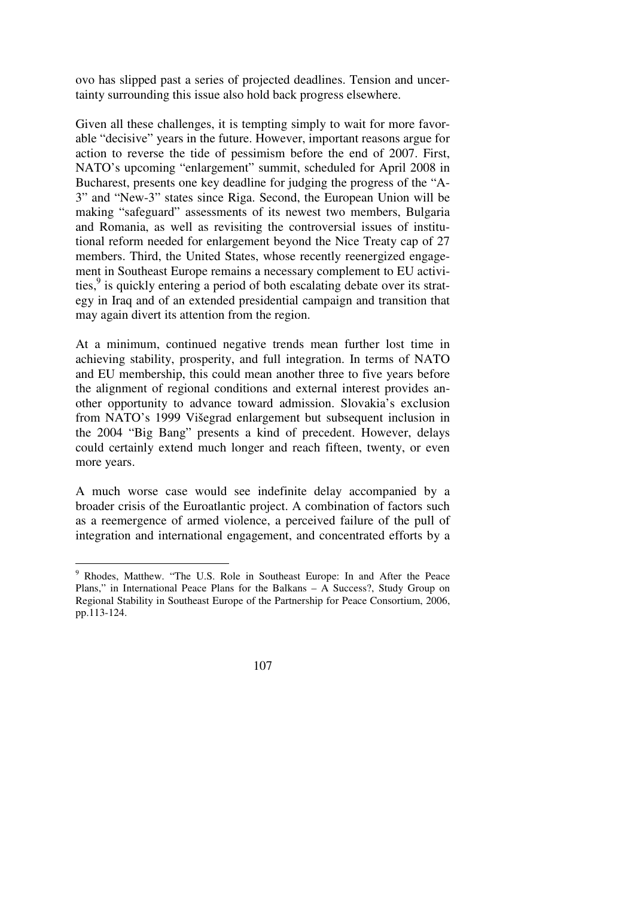ovo has slipped past a series of projected deadlines. Tension and uncertainty surrounding this issue also hold back progress elsewhere.

Given all these challenges, it is tempting simply to wait for more favorable "decisive" years in the future. However, important reasons argue for action to reverse the tide of pessimism before the end of 2007. First, NATO's upcoming "enlargement" summit, scheduled for April 2008 in Bucharest, presents one key deadline for judging the progress of the "A-3" and "New-3" states since Riga. Second, the European Union will be making "safeguard" assessments of its newest two members, Bulgaria and Romania, as well as revisiting the controversial issues of institutional reform needed for enlargement beyond the Nice Treaty cap of 27 members. Third, the United States, whose recently reenergized engagement in Southeast Europe remains a necessary complement to EU activities,<sup>9</sup> is quickly entering a period of both escalating debate over its strategy in Iraq and of an extended presidential campaign and transition that may again divert its attention from the region.

At a minimum, continued negative trends mean further lost time in achieving stability, prosperity, and full integration. In terms of NATO and EU membership, this could mean another three to five years before the alignment of regional conditions and external interest provides another opportunity to advance toward admission. Slovakia's exclusion from NATO's 1999 Višegrad enlargement but subsequent inclusion in the 2004 "Big Bang" presents a kind of precedent. However, delays could certainly extend much longer and reach fifteen, twenty, or even more years.

A much worse case would see indefinite delay accompanied by a broader crisis of the Euroatlantic project. A combination of factors such as a reemergence of armed violence, a perceived failure of the pull of integration and international engagement, and concentrated efforts by a

<sup>&</sup>lt;sup>9</sup> Rhodes, Matthew. "The U.S. Role in Southeast Europe: In and After the Peace Plans," in International Peace Plans for the Balkans – A Success?, Study Group on Regional Stability in Southeast Europe of the Partnership for Peace Consortium, 2006, pp.113-124.